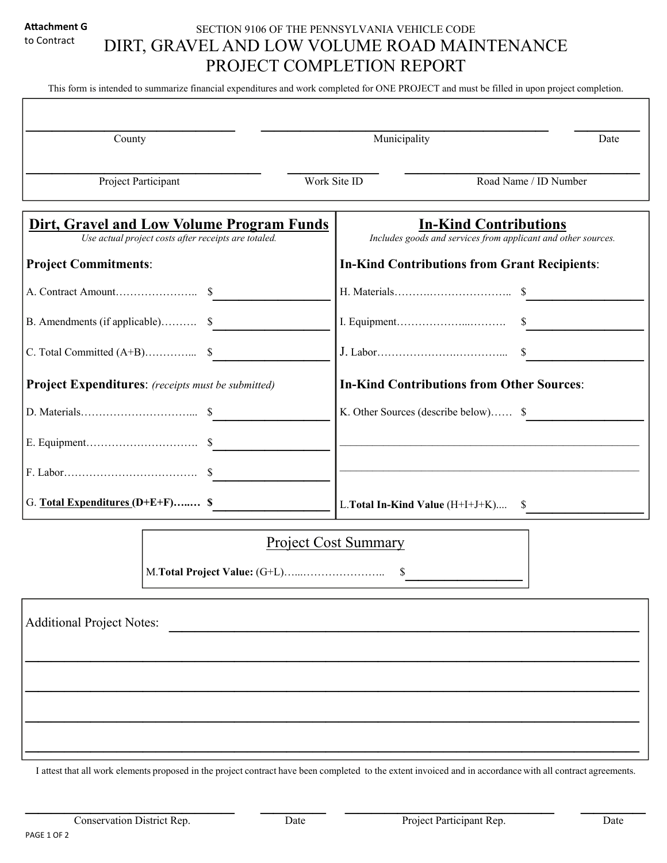#### **AƩachment G**  to Contract

# SECTION 9106 OF THE PENNSYLVANIA VEHICLE CODE DIRT, GRAVEL AND LOW VOLUME ROAD MAINTENANCE PROJECT COMPLETION REPORT

This form is intended to summarize financial expenditures and work completed for ONE PROJECT and must be filled in upon project completion.

| County                                                                                            | Municipality<br>Date                                                                          |
|---------------------------------------------------------------------------------------------------|-----------------------------------------------------------------------------------------------|
| Project Participant                                                                               | Work Site ID<br>Road Name / ID Number                                                         |
| Dirt, Gravel and Low Volume Program Funds<br>Use actual project costs after receipts are totaled. | <b>In-Kind Contributions</b><br>Includes goods and services from applicant and other sources. |
| <b>Project Commitments:</b>                                                                       | <b>In-Kind Contributions from Grant Recipients:</b>                                           |
|                                                                                                   |                                                                                               |
| B. Amendments (if applicable) \$                                                                  |                                                                                               |
|                                                                                                   |                                                                                               |
| <b>Project Expenditures:</b> (receipts must be submitted)                                         | <b>In-Kind Contributions from Other Sources:</b>                                              |
|                                                                                                   | K. Other Sources (describe below) \$                                                          |
|                                                                                                   |                                                                                               |
|                                                                                                   |                                                                                               |
| G. Total Expenditures (D+E+F) \$                                                                  | L. Total In-Kind Value $(H+I+J+K)$ $\quad$                                                    |

# Project Cost Summary

M.**Total Project Value:** (G+L)…...………………….. \$\_\_\_\_\_\_\_\_\_

| Additional Project Notes: | <u> 1980 - Andrea Andrew Maria (b. 1980)</u> |  |  |
|---------------------------|----------------------------------------------|--|--|
|                           |                                              |  |  |
|                           |                                              |  |  |
|                           |                                              |  |  |
|                           |                                              |  |  |

I attest that all work elements proposed in the project contract have been completed to the extent invoiced and in accordance with all contract agreements.

 $\frac{1}{2}$  ,  $\frac{1}{2}$  ,  $\frac{1}{2}$  ,  $\frac{1}{2}$  ,  $\frac{1}{2}$  ,  $\frac{1}{2}$  ,  $\frac{1}{2}$  ,  $\frac{1}{2}$  ,  $\frac{1}{2}$  ,  $\frac{1}{2}$  ,  $\frac{1}{2}$  ,  $\frac{1}{2}$  ,  $\frac{1}{2}$  ,  $\frac{1}{2}$  ,  $\frac{1}{2}$  ,  $\frac{1}{2}$  ,  $\frac{1}{2}$  ,  $\frac{1}{2}$  ,  $\frac{1$